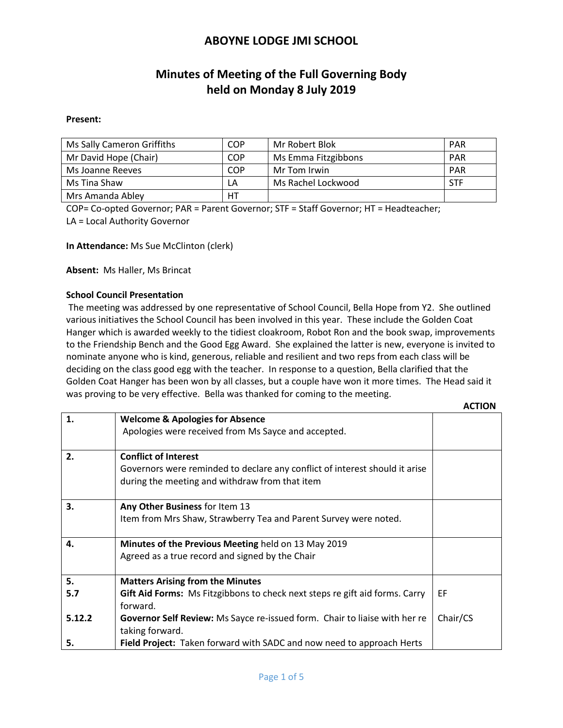# **Minutes of Meeting of the Full Governing Body held on Monday 8 July 2019**

#### **Present:**

| Ms Sally Cameron Griffiths | COP        | Mr Robert Blok      | <b>PAR</b> |
|----------------------------|------------|---------------------|------------|
| Mr David Hope (Chair)      | <b>COP</b> | Ms Emma Fitzgibbons | <b>PAR</b> |
| Ms Joanne Reeves           | COP        | Mr Tom Irwin        | <b>PAR</b> |
| Ms Tina Shaw               | LΑ         | Ms Rachel Lockwood  | STF        |
| Mrs Amanda Abley           | HT         |                     |            |

COP= Co-opted Governor; PAR = Parent Governor; STF = Staff Governor; HT = Headteacher; LA = Local Authority Governor

**In Attendance:** Ms Sue McClinton (clerk)

**Absent:** Ms Haller, Ms Brincat

### **School Council Presentation**

The meeting was addressed by one representative of School Council, Bella Hope from Y2. She outlined various initiatives the School Council has been involved in this year. These include the Golden Coat Hanger which is awarded weekly to the tidiest cloakroom, Robot Ron and the book swap, improvements to the Friendship Bench and the Good Egg Award. She explained the latter is new, everyone is invited to nominate anyone who is kind, generous, reliable and resilient and two reps from each class will be deciding on the class good egg with the teacher. In response to a question, Bella clarified that the Golden Coat Hanger has been won by all classes, but a couple have won it more times. The Head said it was proving to be very effective. Bella was thanked for coming to the meeting.

|        |                                                                             | <b>ACTION</b> |
|--------|-----------------------------------------------------------------------------|---------------|
| 1.     | <b>Welcome &amp; Apologies for Absence</b>                                  |               |
|        | Apologies were received from Ms Sayce and accepted.                         |               |
| 2.     | <b>Conflict of Interest</b>                                                 |               |
|        | Governors were reminded to declare any conflict of interest should it arise |               |
|        | during the meeting and withdraw from that item                              |               |
| 3.     | Any Other Business for Item 13                                              |               |
|        | Item from Mrs Shaw, Strawberry Tea and Parent Survey were noted.            |               |
| 4.     | Minutes of the Previous Meeting held on 13 May 2019                         |               |
|        | Agreed as a true record and signed by the Chair                             |               |
| 5.     | <b>Matters Arising from the Minutes</b>                                     |               |
| 5.7    | Gift Aid Forms: Ms Fitzgibbons to check next steps re gift aid forms. Carry | EF            |
|        | forward.                                                                    |               |
| 5.12.2 | Governor Self Review: Ms Sayce re-issued form. Chair to liaise with her re  | Chair/CS      |
|        | taking forward.                                                             |               |
| 5.     | Field Project: Taken forward with SADC and now need to approach Herts       |               |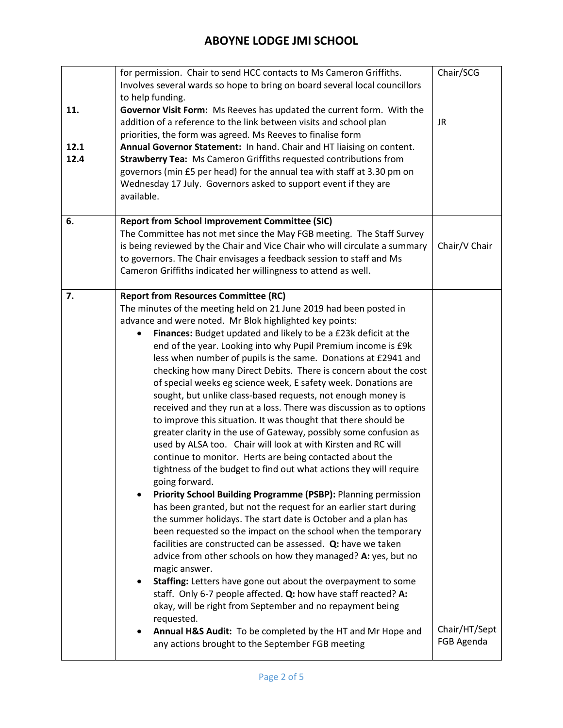| 11.<br>12.1<br>12.4 | for permission. Chair to send HCC contacts to Ms Cameron Griffiths.<br>Involves several wards so hope to bring on board several local councillors<br>to help funding.<br>Governor Visit Form: Ms Reeves has updated the current form. With the<br>addition of a reference to the link between visits and school plan<br>priorities, the form was agreed. Ms Reeves to finalise form<br>Annual Governor Statement: In hand. Chair and HT liaising on content.<br><b>Strawberry Tea: Ms Cameron Griffiths requested contributions from</b><br>governors (min £5 per head) for the annual tea with staff at 3.30 pm on<br>Wednesday 17 July. Governors asked to support event if they are<br>available.                                                                                                                                                                                                                                                                                                                                                                                                                                                                                                                                                                                                                                                                                                                                                                                                                                                                                                                                                                                                                                                                                                              | Chair/SCG<br>JR.            |
|---------------------|-------------------------------------------------------------------------------------------------------------------------------------------------------------------------------------------------------------------------------------------------------------------------------------------------------------------------------------------------------------------------------------------------------------------------------------------------------------------------------------------------------------------------------------------------------------------------------------------------------------------------------------------------------------------------------------------------------------------------------------------------------------------------------------------------------------------------------------------------------------------------------------------------------------------------------------------------------------------------------------------------------------------------------------------------------------------------------------------------------------------------------------------------------------------------------------------------------------------------------------------------------------------------------------------------------------------------------------------------------------------------------------------------------------------------------------------------------------------------------------------------------------------------------------------------------------------------------------------------------------------------------------------------------------------------------------------------------------------------------------------------------------------------------------------------------------------|-----------------------------|
| 6.                  | <b>Report from School Improvement Committee (SIC)</b><br>The Committee has not met since the May FGB meeting. The Staff Survey<br>is being reviewed by the Chair and Vice Chair who will circulate a summary<br>to governors. The Chair envisages a feedback session to staff and Ms<br>Cameron Griffiths indicated her willingness to attend as well.                                                                                                                                                                                                                                                                                                                                                                                                                                                                                                                                                                                                                                                                                                                                                                                                                                                                                                                                                                                                                                                                                                                                                                                                                                                                                                                                                                                                                                                            | Chair/V Chair               |
| 7.                  | <b>Report from Resources Committee (RC)</b><br>The minutes of the meeting held on 21 June 2019 had been posted in<br>advance and were noted. Mr Blok highlighted key points:<br>Finances: Budget updated and likely to be a £23k deficit at the<br>$\bullet$<br>end of the year. Looking into why Pupil Premium income is £9k<br>less when number of pupils is the same. Donations at £2941 and<br>checking how many Direct Debits. There is concern about the cost<br>of special weeks eg science week, E safety week. Donations are<br>sought, but unlike class-based requests, not enough money is<br>received and they run at a loss. There was discussion as to options<br>to improve this situation. It was thought that there should be<br>greater clarity in the use of Gateway, possibly some confusion as<br>used by ALSA too. Chair will look at with Kirsten and RC will<br>continue to monitor. Herts are being contacted about the<br>tightness of the budget to find out what actions they will require<br>going forward.<br>Priority School Building Programme (PSBP): Planning permission<br>has been granted, but not the request for an earlier start during<br>the summer holidays. The start date is October and a plan has<br>been requested so the impact on the school when the temporary<br>facilities are constructed can be assessed. Q: have we taken<br>advice from other schools on how they managed? A: yes, but no<br>magic answer.<br>Staffing: Letters have gone out about the overpayment to some<br>$\bullet$<br>staff. Only 6-7 people affected. Q: how have staff reacted? A:<br>okay, will be right from September and no repayment being<br>requested.<br>Annual H&S Audit: To be completed by the HT and Mr Hope and<br>any actions brought to the September FGB meeting | Chair/HT/Sept<br>FGB Agenda |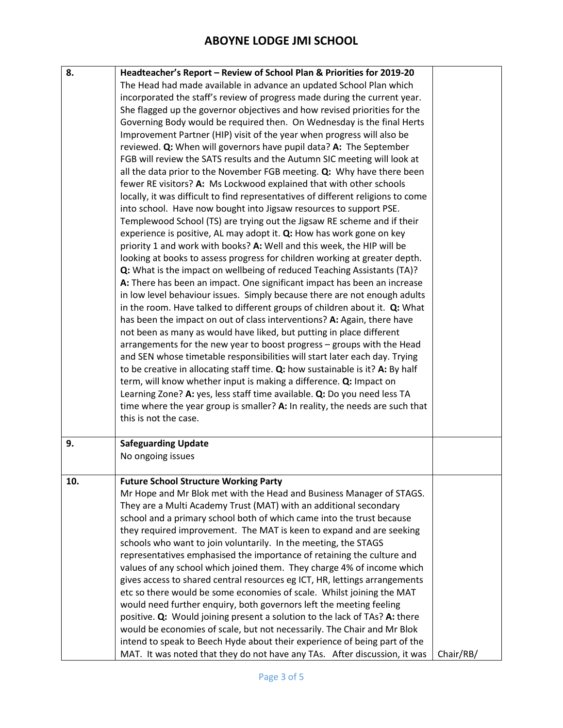| 8.  | Headteacher's Report - Review of School Plan & Priorities for 2019-20            |           |
|-----|----------------------------------------------------------------------------------|-----------|
|     | The Head had made available in advance an updated School Plan which              |           |
|     | incorporated the staff's review of progress made during the current year.        |           |
|     | She flagged up the governor objectives and how revised priorities for the        |           |
|     | Governing Body would be required then. On Wednesday is the final Herts           |           |
|     | Improvement Partner (HIP) visit of the year when progress will also be           |           |
|     | reviewed. Q: When will governors have pupil data? A: The September               |           |
|     | FGB will review the SATS results and the Autumn SIC meeting will look at         |           |
|     | all the data prior to the November FGB meeting. Q: Why have there been           |           |
|     | fewer RE visitors? A: Ms Lockwood explained that with other schools              |           |
|     | locally, it was difficult to find representatives of different religions to come |           |
|     | into school. Have now bought into Jigsaw resources to support PSE.               |           |
|     | Templewood School (TS) are trying out the Jigsaw RE scheme and if their          |           |
|     | experience is positive, AL may adopt it. Q: How has work gone on key             |           |
|     | priority 1 and work with books? A: Well and this week, the HIP will be           |           |
|     | looking at books to assess progress for children working at greater depth.       |           |
|     | Q: What is the impact on wellbeing of reduced Teaching Assistants (TA)?          |           |
|     | A: There has been an impact. One significant impact has been an increase         |           |
|     | in low level behaviour issues. Simply because there are not enough adults        |           |
|     | in the room. Have talked to different groups of children about it. Q: What       |           |
|     | has been the impact on out of class interventions? A: Again, there have          |           |
|     | not been as many as would have liked, but putting in place different             |           |
|     | arrangements for the new year to boost progress - groups with the Head           |           |
|     | and SEN whose timetable responsibilities will start later each day. Trying       |           |
|     |                                                                                  |           |
|     | to be creative in allocating staff time. Q: how sustainable is it? A: By half    |           |
|     | term, will know whether input is making a difference. Q: Impact on               |           |
|     | Learning Zone? A: yes, less staff time available. Q: Do you need less TA         |           |
|     | time where the year group is smaller? A: In reality, the needs are such that     |           |
|     | this is not the case.                                                            |           |
| 9.  | <b>Safeguarding Update</b>                                                       |           |
|     | No ongoing issues                                                                |           |
|     |                                                                                  |           |
| 10. | <b>Future School Structure Working Party</b>                                     |           |
|     | Mr Hope and Mr Blok met with the Head and Business Manager of STAGS.             |           |
|     | They are a Multi Academy Trust (MAT) with an additional secondary                |           |
|     | school and a primary school both of which came into the trust because            |           |
|     | they required improvement. The MAT is keen to expand and are seeking             |           |
|     | schools who want to join voluntarily. In the meeting, the STAGS                  |           |
|     | representatives emphasised the importance of retaining the culture and           |           |
|     | values of any school which joined them. They charge 4% of income which           |           |
|     | gives access to shared central resources eg ICT, HR, lettings arrangements       |           |
|     | etc so there would be some economies of scale. Whilst joining the MAT            |           |
|     | would need further enquiry, both governors left the meeting feeling              |           |
|     | positive. Q: Would joining present a solution to the lack of TAs? A: there       |           |
|     | would be economies of scale, but not necessarily. The Chair and Mr Blok          |           |
|     | intend to speak to Beech Hyde about their experience of being part of the        |           |
|     | MAT. It was noted that they do not have any TAs. After discussion, it was        | Chair/RB/ |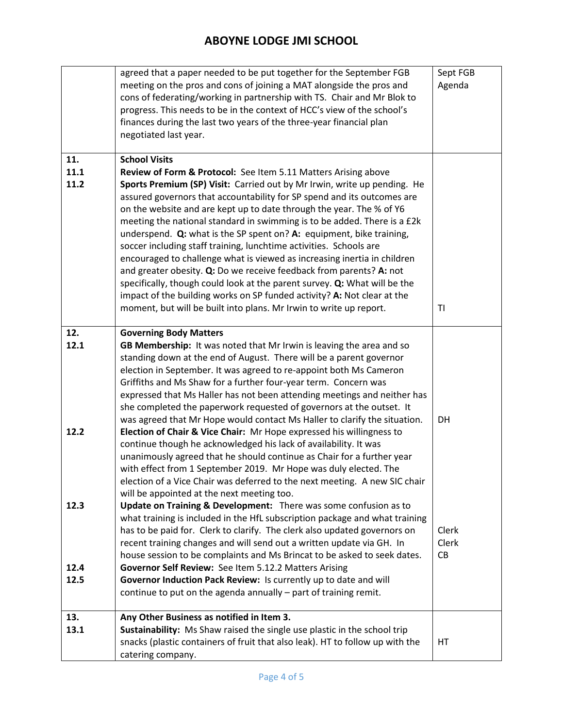|      | agreed that a paper needed to be put together for the September FGB           | Sept FGB |
|------|-------------------------------------------------------------------------------|----------|
|      | meeting on the pros and cons of joining a MAT alongside the pros and          | Agenda   |
|      | cons of federating/working in partnership with TS. Chair and Mr Blok to       |          |
|      | progress. This needs to be in the context of HCC's view of the school's       |          |
|      | finances during the last two years of the three-year financial plan           |          |
|      | negotiated last year.                                                         |          |
|      |                                                                               |          |
| 11.  | <b>School Visits</b>                                                          |          |
| 11.1 |                                                                               |          |
|      | Review of Form & Protocol: See Item 5.11 Matters Arising above                |          |
| 11.2 | Sports Premium (SP) Visit: Carried out by Mr Irwin, write up pending. He      |          |
|      | assured governors that accountability for SP spend and its outcomes are       |          |
|      | on the website and are kept up to date through the year. The % of Y6          |          |
|      | meeting the national standard in swimming is to be added. There is a £2k      |          |
|      | underspend. Q: what is the SP spent on? A: equipment, bike training,          |          |
|      | soccer including staff training, lunchtime activities. Schools are            |          |
|      | encouraged to challenge what is viewed as increasing inertia in children      |          |
|      | and greater obesity. Q: Do we receive feedback from parents? A: not           |          |
|      | specifically, though could look at the parent survey. Q: What will be the     |          |
|      | impact of the building works on SP funded activity? A: Not clear at the       |          |
|      | moment, but will be built into plans. Mr Irwin to write up report.            | TI       |
|      |                                                                               |          |
| 12.  | <b>Governing Body Matters</b>                                                 |          |
| 12.1 | GB Membership: It was noted that Mr Irwin is leaving the area and so          |          |
|      | standing down at the end of August. There will be a parent governor           |          |
|      | election in September. It was agreed to re-appoint both Ms Cameron            |          |
|      | Griffiths and Ms Shaw for a further four-year term. Concern was               |          |
|      | expressed that Ms Haller has not been attending meetings and neither has      |          |
|      | she completed the paperwork requested of governors at the outset. It          |          |
|      | was agreed that Mr Hope would contact Ms Haller to clarify the situation.     | DH       |
| 12.2 | Election of Chair & Vice Chair: Mr Hope expressed his willingness to          |          |
|      | continue though he acknowledged his lack of availability. It was              |          |
|      | unanimously agreed that he should continue as Chair for a further year        |          |
|      | with effect from 1 September 2019. Mr Hope was duly elected. The              |          |
|      | election of a Vice Chair was deferred to the next meeting. A new SIC chair    |          |
|      | will be appointed at the next meeting too.                                    |          |
| 12.3 | Update on Training & Development: There was some confusion as to              |          |
|      | what training is included in the HfL subscription package and what training   |          |
|      | has to be paid for. Clerk to clarify. The clerk also updated governors on     | Clerk    |
|      | recent training changes and will send out a written update via GH. In         | Clerk    |
|      | house session to be complaints and Ms Brincat to be asked to seek dates.      | CB       |
| 12.4 | Governor Self Review: See Item 5.12.2 Matters Arising                         |          |
| 12.5 | Governor Induction Pack Review: Is currently up to date and will              |          |
|      |                                                                               |          |
|      | continue to put on the agenda annually - part of training remit.              |          |
| 13.  | Any Other Business as notified in Item 3.                                     |          |
| 13.1 | Sustainability: Ms Shaw raised the single use plastic in the school trip      |          |
|      | snacks (plastic containers of fruit that also leak). HT to follow up with the | HT.      |
|      |                                                                               |          |
|      | catering company.                                                             |          |